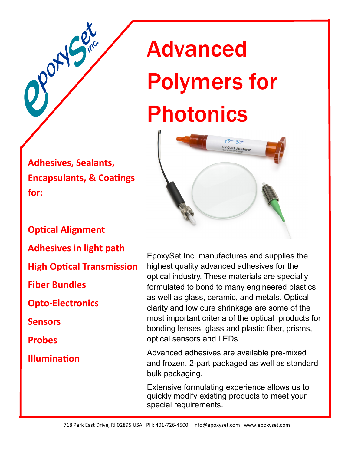**Adhesives, Sealants, Encapsulants, & Coatings for:** 

PONS

## Advanced Polymers for Photonics



**Optical Alignment Adhesives in light path High Optical Transmission Fiber Bundles Opto-Electronics Sensors Probes Illumination**

EpoxySet Inc. manufactures and supplies the highest quality advanced adhesives for the optical industry. These materials are specially formulated to bond to many engineered plastics as well as glass, ceramic, and metals. Optical clarity and low cure shrinkage are some of the most important criteria of the optical products for bonding lenses, glass and plastic fiber, prisms, optical sensors and LEDs.

Advanced adhesives are available pre-mixed and frozen, 2-part packaged as well as standard bulk packaging.

Extensive formulating experience allows us to quickly modify existing products to meet your special requirements.